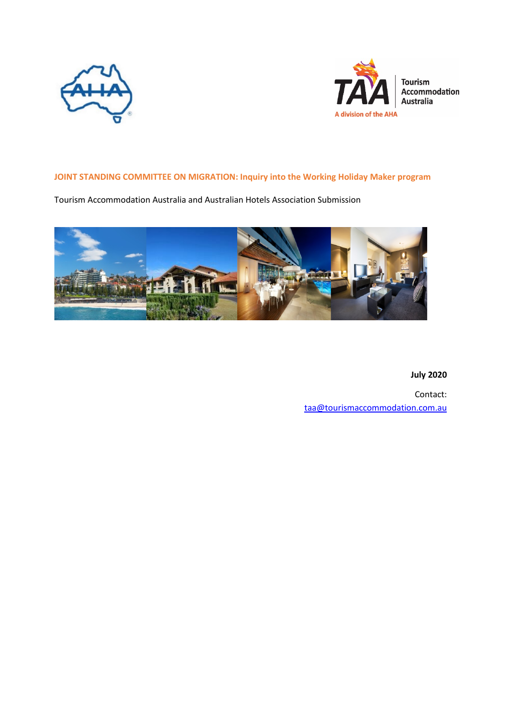



# **JOINT STANDING COMMITTEE ON MIGRATION: Inquiry into the Working Holiday Maker program**

Tourism Accommodation Australia and Australian Hotels Association Submission



**July 2020**

Contact: [taa@tourismaccommodation.com.au](mailto:taa@tourismaccommodation.com.au)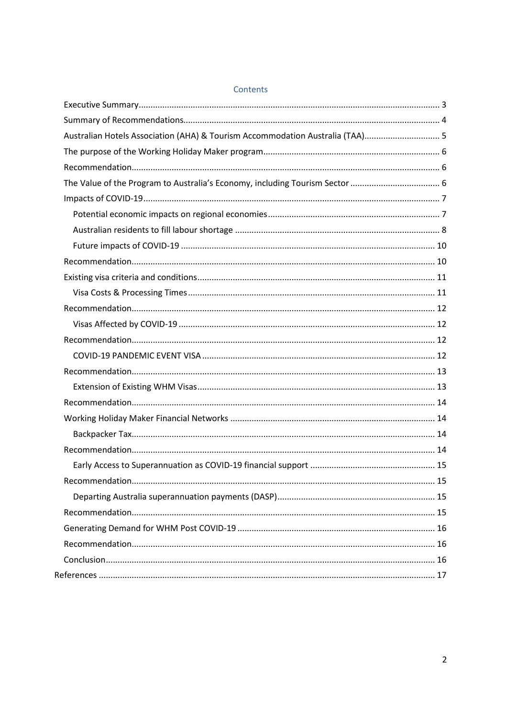| Australian Hotels Association (AHA) & Tourism Accommodation Australia (TAA) 5 |  |
|-------------------------------------------------------------------------------|--|
|                                                                               |  |
|                                                                               |  |
|                                                                               |  |
|                                                                               |  |
|                                                                               |  |
|                                                                               |  |
|                                                                               |  |
|                                                                               |  |
|                                                                               |  |
|                                                                               |  |
|                                                                               |  |
|                                                                               |  |
|                                                                               |  |
|                                                                               |  |
|                                                                               |  |
|                                                                               |  |
|                                                                               |  |
|                                                                               |  |
|                                                                               |  |
|                                                                               |  |
|                                                                               |  |
|                                                                               |  |
|                                                                               |  |
|                                                                               |  |
|                                                                               |  |
|                                                                               |  |
|                                                                               |  |
|                                                                               |  |

# Contents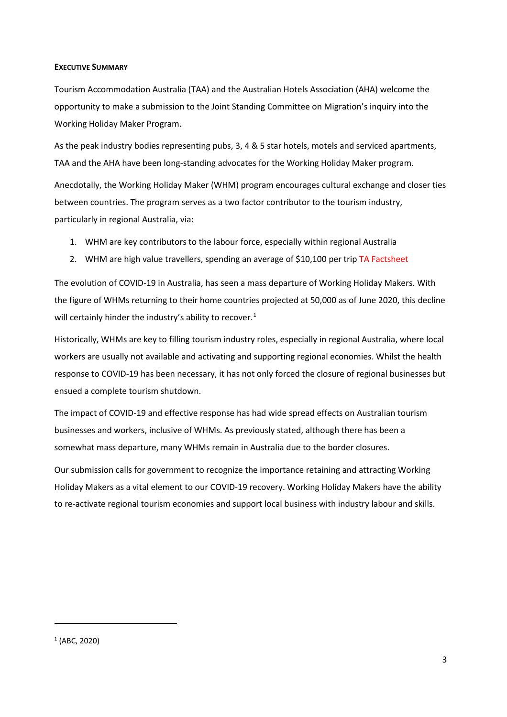### <span id="page-2-0"></span>**EXECUTIVE SUMMARY**

Tourism Accommodation Australia (TAA) and the Australian Hotels Association (AHA) welcome the opportunity to make a submission to the Joint Standing Committee on Migration's inquiry into the Working Holiday Maker Program.

As the peak industry bodies representing pubs, 3, 4 & 5 star hotels, motels and serviced apartments, TAA and the AHA have been long-standing advocates for the Working Holiday Maker program.

Anecdotally, the Working Holiday Maker (WHM) program encourages cultural exchange and closer ties between countries. The program serves as a two factor contributor to the tourism industry, particularly in regional Australia, via:

- 1. WHM are key contributors to the labour force, especially within regional Australia
- 2. WHM are high value travellers, spending an average of \$10,100 per trip TA Factsheet

The evolution of COVID-19 in Australia, has seen a mass departure of Working Holiday Makers. With the figure of WHMs returning to their home countries projected at 50,000 as of June 2020, this decline will certainly hinder the industry's ability to recover.<sup>[1](#page-2-1)</sup>

Historically, WHMs are key to filling tourism industry roles, especially in regional Australia, where local workers are usually not available and activating and supporting regional economies. Whilst the health response to COVID-19 has been necessary, it has not only forced the closure of regional businesses but ensued a complete tourism shutdown.

The impact of COVID-19 and effective response has had wide spread effects on Australian tourism businesses and workers, inclusive of WHMs. As previously stated, although there has been a somewhat mass departure, many WHMs remain in Australia due to the border closures.

Our submission calls for government to recognize the importance retaining and attracting Working Holiday Makers as a vital element to our COVID-19 recovery. Working Holiday Makers have the ability to re-activate regional tourism economies and support local business with industry labour and skills.

<span id="page-2-1"></span> $1$  (ABC, 2020)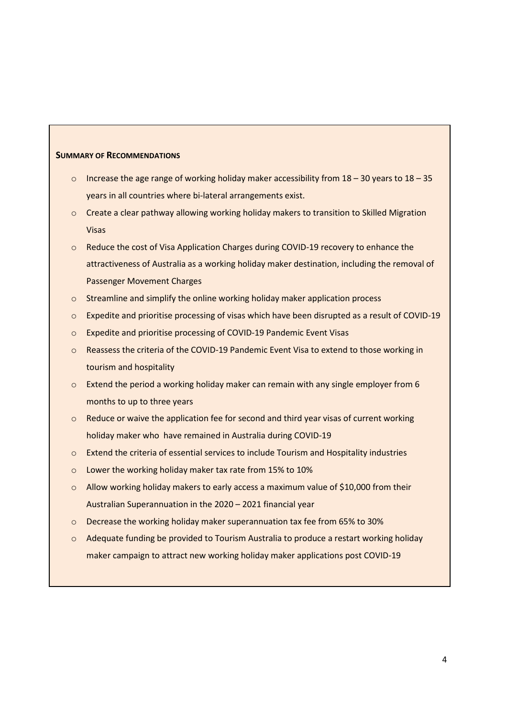#### **SUMMARY OF RECOMMENDATIONS**

- $\circ$  Increase the age range of working holiday maker accessibility from 18 30 years to 18 35 years in all countries where bi-lateral arrangements exist.
- o Create a clear pathway allowing working holiday makers to transition to Skilled Migration Visas
- o Reduce the cost of Visa Application Charges during COVID-19 recovery to enhance the attractiveness of Australia as a working holiday maker destination, including the removal of Passenger Movement Charges
- o Streamline and simplify the online working holiday maker application process
- $\circ$  Expedite and prioritise processing of visas which have been disrupted as a result of COVID-19
- o Expedite and prioritise processing of COVID-19 Pandemic Event Visas
- o Reassess the criteria of the COVID-19 Pandemic Event Visa to extend to those working in tourism and hospitality
- $\circ$  Extend the period a working holiday maker can remain with any single employer from 6 months to up to three years
- $\circ$  Reduce or waive the application fee for second and third year visas of current working holiday maker who have remained in Australia during COVID-19
- o Extend the criteria of essential services to include Tourism and Hospitality industries
- o Lower the working holiday maker tax rate from 15% to 10%
- $\circ$  Allow working holiday makers to early access a maximum value of \$10,000 from their Australian Superannuation in the 2020 – 2021 financial year
- $\circ$  Decrease the working holiday maker superannuation tax fee from 65% to 30%
- $\circ$  Adequate funding be provided to Tourism Australia to produce a restart working holiday maker campaign to attract new working holiday maker applications post COVID-19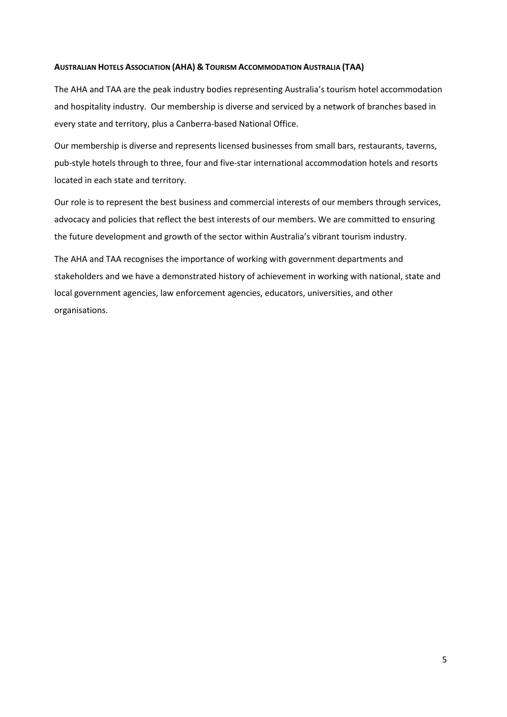## <span id="page-4-0"></span>**AUSTRALIAN HOTELS ASSOCIATION (AHA) & TOURISM ACCOMMODATION AUSTRALIA (TAA)**

The AHA and TAA are the peak industry bodies representing Australia's tourism hotel accommodation and hospitality industry. Our membership is diverse and serviced by a network of branches based in every state and territory, plus a Canberra-based National Office.

Our membership is diverse and represents licensed businesses from small bars, restaurants, taverns, pub-style hotels through to three, four and five-star international accommodation hotels and resorts located in each state and territory.

Our role is to represent the best business and commercial interests of our members through services, advocacy and policies that reflect the best interests of our members. We are committed to ensuring the future development and growth of the sector within Australia's vibrant tourism industry.

The AHA and TAA recognises the importance of working with government departments and stakeholders and we have a demonstrated history of achievement in working with national, state and local government agencies, law enforcement agencies, educators, universities, and other organisations.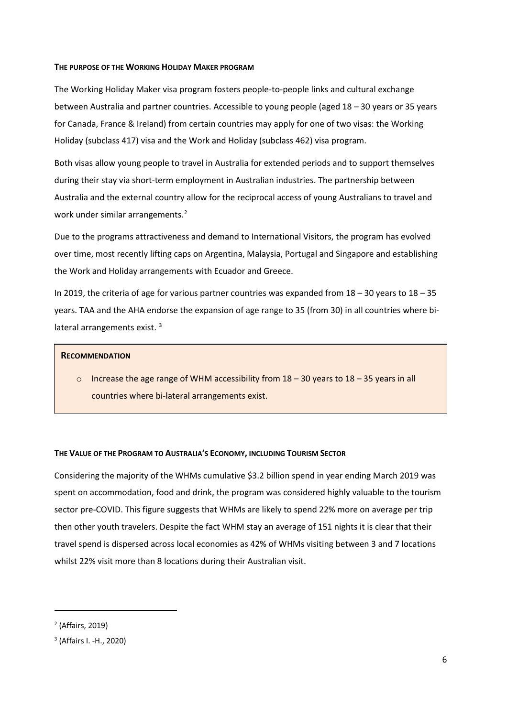#### <span id="page-5-0"></span>**THE PURPOSE OF THE WORKING HOLIDAY MAKER PROGRAM**

The Working Holiday Maker visa program fosters people-to-people links and cultural exchange between Australia and partner countries. Accessible to young people (aged 18 – 30 years or 35 years for Canada, France & Ireland) from certain countries may apply for one of two visas: the Working Holiday (subclass 417) visa and the Work and Holiday (subclass 462) visa program.

Both visas allow young people to travel in Australia for extended periods and to support themselves during their stay via short-term employment in Australian industries. The partnership between Australia and the external country allow for the reciprocal access of young Australians to travel and work under similar arrangements.<sup>[2](#page-5-2)</sup>

Due to the programs attractiveness and demand to International Visitors, the program has evolved over time, most recently lifting caps on Argentina, Malaysia, Portugal and Singapore and establishing the Work and Holiday arrangements with Ecuador and Greece.

In 2019, the criteria of age for various partner countries was expanded from 18 – 30 years to 18 – 35 years. TAA and the AHA endorse the expansion of age range to 35 (from 30) in all countries where bi-lateral arrangements exist.<sup>[3](#page-5-3)</sup>

### **RECOMMENDATION**

 $\circ$  Increase the age range of WHM accessibility from 18 – 30 years to 18 – 35 years in all countries where bi-lateral arrangements exist.

### <span id="page-5-1"></span>**THE VALUE OF THE PROGRAM TO AUSTRALIA'S ECONOMY, INCLUDING TOURISM SECTOR**

Considering the majority of the WHMs cumulative \$3.2 billion spend in year ending March 2019 was spent on accommodation, food and drink, the program was considered highly valuable to the tourism sector pre-COVID. This figure suggests that WHMs are likely to spend 22% more on average per trip then other youth travelers. Despite the fact WHM stay an average of 151 nights it is clear that their travel spend is dispersed across local economies as 42% of WHMs visiting between 3 and 7 locations whilst 22% visit more than 8 locations during their Australian visit.

 $\overline{\phantom{a}}$ 

<span id="page-5-2"></span><sup>2</sup> (Affairs, 2019)

<span id="page-5-3"></span><sup>3</sup> (Affairs I. -H., 2020)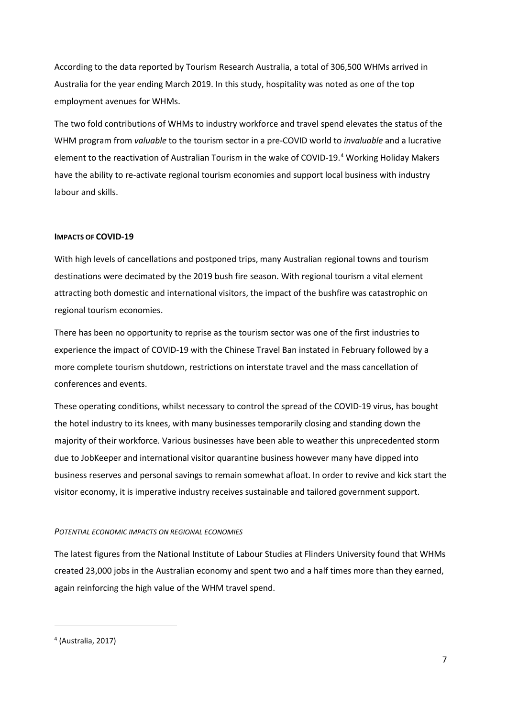According to the data reported by Tourism Research Australia, a total of 306,500 WHMs arrived in Australia for the year ending March 2019. In this study, hospitality was noted as one of the top employment avenues for WHMs.

The two fold contributions of WHMs to industry workforce and travel spend elevates the status of the WHM program from *valuable* to the tourism sector in a pre-COVID world to *invaluable* and a lucrative element to the reactivation of Australian Tourism in the wake of COVID-19. [4](#page-6-2) Working Holiday Makers have the ability to re-activate regional tourism economies and support local business with industry labour and skills.

# <span id="page-6-0"></span>**IMPACTS OF COVID-19**

With high levels of cancellations and postponed trips, many Australian regional towns and tourism destinations were decimated by the 2019 bush fire season. With regional tourism a vital element attracting both domestic and international visitors, the impact of the bushfire was catastrophic on regional tourism economies.

There has been no opportunity to reprise as the tourism sector was one of the first industries to experience the impact of COVID-19 with the Chinese Travel Ban instated in February followed by a more complete tourism shutdown, restrictions on interstate travel and the mass cancellation of conferences and events.

These operating conditions, whilst necessary to control the spread of the COVID-19 virus, has bought the hotel industry to its knees, with many businesses temporarily closing and standing down the majority of their workforce. Various businesses have been able to weather this unprecedented storm due to JobKeeper and international visitor quarantine business however many have dipped into business reserves and personal savings to remain somewhat afloat. In order to revive and kick start the visitor economy, it is imperative industry receives sustainable and tailored government support.

#### <span id="page-6-1"></span>*POTENTIAL ECONOMIC IMPACTS ON REGIONAL ECONOMIES*

The latest figures from the National Institute of Labour Studies at Flinders University found that WHMs created 23,000 jobs in the Australian economy and spent two and a half times more than they earned, again reinforcing the high value of the WHM travel spend.

<span id="page-6-2"></span><sup>4</sup> (Australia, 2017)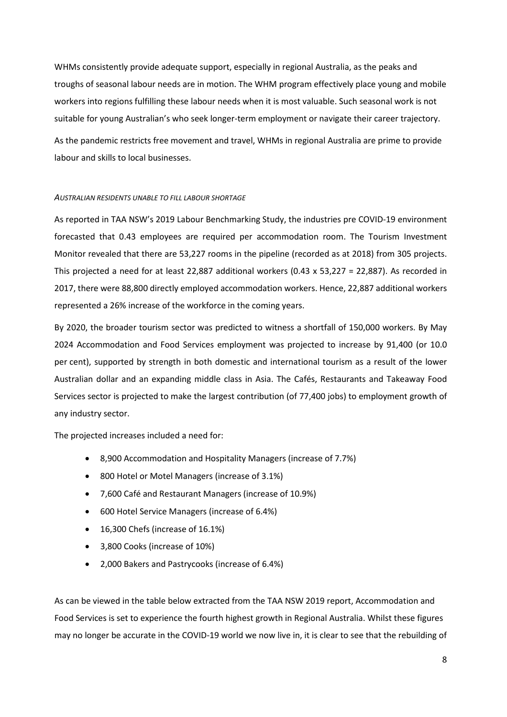WHMs consistently provide adequate support, especially in regional Australia, as the peaks and troughs of seasonal labour needs are in motion. The WHM program effectively place young and mobile workers into regions fulfilling these labour needs when it is most valuable. Such seasonal work is not suitable for young Australian's who seek longer-term employment or navigate their career trajectory. As the pandemic restricts free movement and travel, WHMs in regional Australia are prime to provide

labour and skills to local businesses.

# <span id="page-7-0"></span>*AUSTRALIAN RESIDENTS UNABLE TO FILL LABOUR SHORTAGE*

As reported in TAA NSW's 2019 Labour Benchmarking Study, the industries pre COVID-19 environment forecasted that 0.43 employees are required per accommodation room. The Tourism Investment Monitor revealed that there are 53,227 rooms in the pipeline (recorded as at 2018) from 305 projects. This projected a need for at least 22,887 additional workers (0.43 x 53,227 = 22,887). As recorded in 2017, there were 88,800 directly employed accommodation workers. Hence, 22,887 additional workers represented a 26% increase of the workforce in the coming years.

By 2020, the broader tourism sector was predicted to witness a shortfall of 150,000 workers. By May 2024 Accommodation and Food Services employment was projected to increase by 91,400 (or 10.0 per cent), supported by strength in both domestic and international tourism as a result of the lower Australian dollar and an expanding middle class in Asia. The Cafés, Restaurants and Takeaway Food Services sector is projected to make the largest contribution (of 77,400 jobs) to employment growth of any industry sector.

The projected increases included a need for:

- 8,900 Accommodation and Hospitality Managers (increase of 7.7%)
- 800 Hotel or Motel Managers (increase of 3.1%)
- 7,600 Café and Restaurant Managers (increase of 10.9%)
- 600 Hotel Service Managers (increase of 6.4%)
- 16,300 Chefs (increase of 16.1%)
- 3,800 Cooks (increase of 10%)
- 2,000 Bakers and Pastrycooks (increase of 6.4%)

As can be viewed in the table below extracted from the TAA NSW 2019 report, Accommodation and Food Services is set to experience the fourth highest growth in Regional Australia. Whilst these figures may no longer be accurate in the COVID-19 world we now live in, it is clear to see that the rebuilding of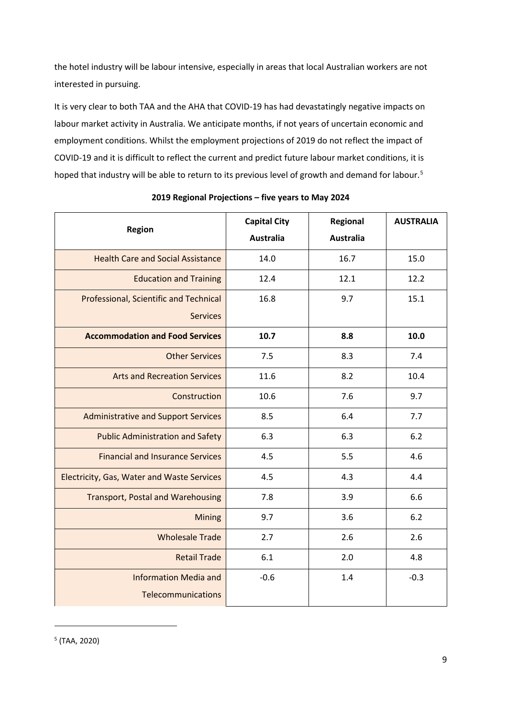the hotel industry will be labour intensive, especially in areas that local Australian workers are not interested in pursuing.

It is very clear to both TAA and the AHA that COVID-19 has had devastatingly negative impacts on labour market activity in Australia. We anticipate months, if not years of uncertain economic and employment conditions. Whilst the employment projections of 2019 do not reflect the impact of COVID-19 and it is difficult to reflect the current and predict future labour market conditions, it is hoped that industry will be able to return to its previous level of growth and demand for labour. [5](#page-8-0)

| <b>Region</b>                                     | <b>Capital City</b> | Regional         | <b>AUSTRALIA</b> |
|---------------------------------------------------|---------------------|------------------|------------------|
|                                                   | <b>Australia</b>    | <b>Australia</b> |                  |
| <b>Health Care and Social Assistance</b>          | 14.0                | 16.7             | 15.0             |
| <b>Education and Training</b>                     | 12.4                | 12.1             | 12.2             |
| <b>Professional, Scientific and Technical</b>     | 16.8                | 9.7              | 15.1             |
| <b>Services</b>                                   |                     |                  |                  |
| <b>Accommodation and Food Services</b>            | 10.7                | 8.8              | 10.0             |
| <b>Other Services</b>                             | 7.5                 | 8.3              | 7.4              |
| <b>Arts and Recreation Services</b>               | 11.6                | 8.2              | 10.4             |
| Construction                                      | 10.6                | 7.6              | 9.7              |
| <b>Administrative and Support Services</b>        | 8.5                 | 6.4              | 7.7              |
| <b>Public Administration and Safety</b>           | 6.3                 | 6.3              | 6.2              |
| <b>Financial and Insurance Services</b>           | 4.5                 | 5.5              | 4.6              |
| <b>Electricity, Gas, Water and Waste Services</b> | 4.5                 | 4.3              | 4.4              |
| <b>Transport, Postal and Warehousing</b>          | 7.8                 | 3.9              | 6.6              |
| <b>Mining</b>                                     | 9.7                 | 3.6              | 6.2              |
| <b>Wholesale Trade</b>                            | 2.7                 | 2.6              | 2.6              |
| <b>Retail Trade</b>                               | 6.1                 | 2.0              | 4.8              |
| <b>Information Media and</b>                      | $-0.6$              | 1.4              | $-0.3$           |
| Telecommunications                                |                     |                  |                  |

# **2019 Regional Projections – five years to May 2024**

<span id="page-8-0"></span> $<sup>5</sup>$  (TAA, 2020)</sup>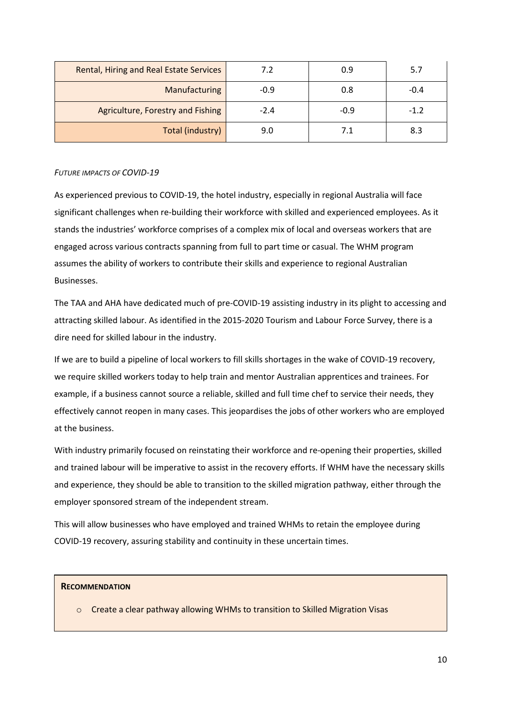| <b>Rental, Hiring and Real Estate Services</b> | 7.2    | 0.9    | 5.7    |
|------------------------------------------------|--------|--------|--------|
| Manufacturing                                  | $-0.9$ | 0.8    | $-0.4$ |
| Agriculture, Forestry and Fishing              | $-2.4$ | $-0.9$ | $-1.2$ |
| Total (industry)                               | 9.0    | 7.1    | 8.3    |

# <span id="page-9-0"></span>*FUTURE IMPACTS OF COVID-19*

As experienced previous to COVID-19, the hotel industry, especially in regional Australia will face significant challenges when re-building their workforce with skilled and experienced employees. As it stands the industries' workforce comprises of a complex mix of local and overseas workers that are engaged across various contracts spanning from full to part time or casual. The WHM program assumes the ability of workers to contribute their skills and experience to regional Australian Businesses.

The TAA and AHA have dedicated much of pre-COVID-19 assisting industry in its plight to accessing and attracting skilled labour. As identified in the 2015-2020 Tourism and Labour Force Survey, there is a dire need for skilled labour in the industry.

If we are to build a pipeline of local workers to fill skills shortages in the wake of COVID-19 recovery, we require skilled workers today to help train and mentor Australian apprentices and trainees. For example, if a business cannot source a reliable, skilled and full time chef to service their needs, they effectively cannot reopen in many cases. This jeopardises the jobs of other workers who are employed at the business.

With industry primarily focused on reinstating their workforce and re-opening their properties, skilled and trained labour will be imperative to assist in the recovery efforts. If WHM have the necessary skills and experience, they should be able to transition to the skilled migration pathway, either through the employer sponsored stream of the independent stream.

This will allow businesses who have employed and trained WHMs to retain the employee during COVID-19 recovery, assuring stability and continuity in these uncertain times.

# **RECOMMENDATION**

o Create a clear pathway allowing WHMs to transition to Skilled Migration Visas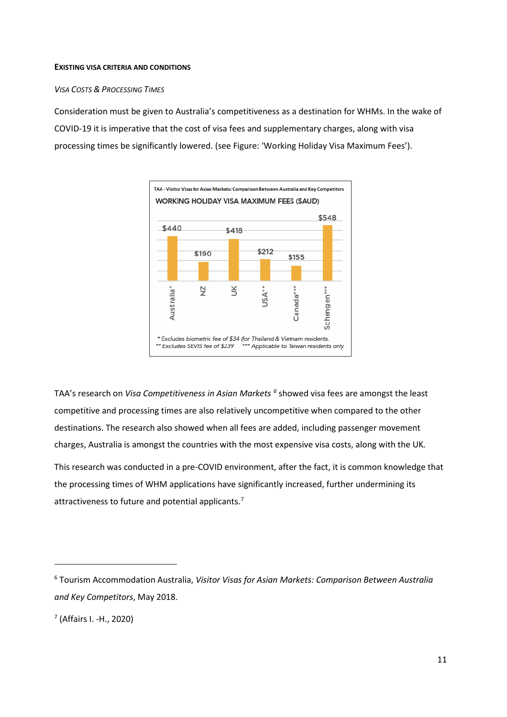#### <span id="page-10-0"></span>**EXISTING VISA CRITERIA AND CONDITIONS**

# <span id="page-10-1"></span>*VISA COSTS & PROCESSING TIMES*

Consideration must be given to Australia's competitiveness as a destination for WHMs. In the wake of COVID-19 it is imperative that the cost of visa fees and supplementary charges, along with visa processing times be significantly lowered. (see Figure: 'Working Holiday Visa Maximum Fees').



TAA's research on *Visa Competitiveness in Asian Markets [6](#page-10-2)* showed visa fees are amongst the least competitive and processing times are also relatively uncompetitive when compared to the other destinations. The research also showed when all fees are added, including passenger movement charges, Australia is amongst the countries with the most expensive visa costs, along with the UK*.* 

This research was conducted in a pre-COVID environment, after the fact, it is common knowledge that the processing times of WHM applications have significantly increased, further undermining its attractiveness to future and potential applicants.<sup>[7](#page-10-3)</sup>

```
7 (Affairs I. -H., 2020)
```
<span id="page-10-2"></span><sup>6</sup> Tourism Accommodation Australia, *Visitor Visas for Asian Markets: Comparison Between Australia and Key Competitors*, May 2018.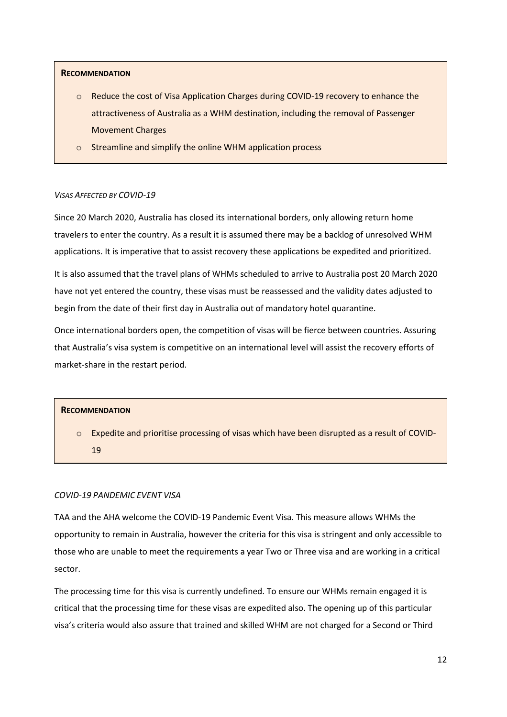### **RECOMMENDATION**

- o Reduce the cost of Visa Application Charges during COVID-19 recovery to enhance the attractiveness of Australia as a WHM destination, including the removal of Passenger Movement Charges
- o Streamline and simplify the online WHM application process

#### <span id="page-11-0"></span>*VISAS AFFECTED BY COVID-19*

Since 20 March 2020, Australia has closed its international borders, only allowing return home travelers to enter the country. As a result it is assumed there may be a backlog of unresolved WHM applications. It is imperative that to assist recovery these applications be expedited and prioritized.

It is also assumed that the travel plans of WHMs scheduled to arrive to Australia post 20 March 2020 have not yet entered the country, these visas must be reassessed and the validity dates adjusted to begin from the date of their first day in Australia out of mandatory hotel quarantine.

Once international borders open, the competition of visas will be fierce between countries. Assuring that Australia's visa system is competitive on an international level will assist the recovery efforts of market-share in the restart period.

#### **RECOMMENDATION**

o Expedite and prioritise processing of visas which have been disrupted as a result of COVID-19

#### <span id="page-11-1"></span>*COVID-19 PANDEMIC EVENT VISA*

TAA and the AHA welcome the COVID-19 Pandemic Event Visa. This measure allows WHMs the opportunity to remain in Australia, however the criteria for this visa is stringent and only accessible to those who are unable to meet the requirements a year Two or Three visa and are working in a critical sector.

The processing time for this visa is currently undefined. To ensure our WHMs remain engaged it is critical that the processing time for these visas are expedited also. The opening up of this particular visa's criteria would also assure that trained and skilled WHM are not charged for a Second or Third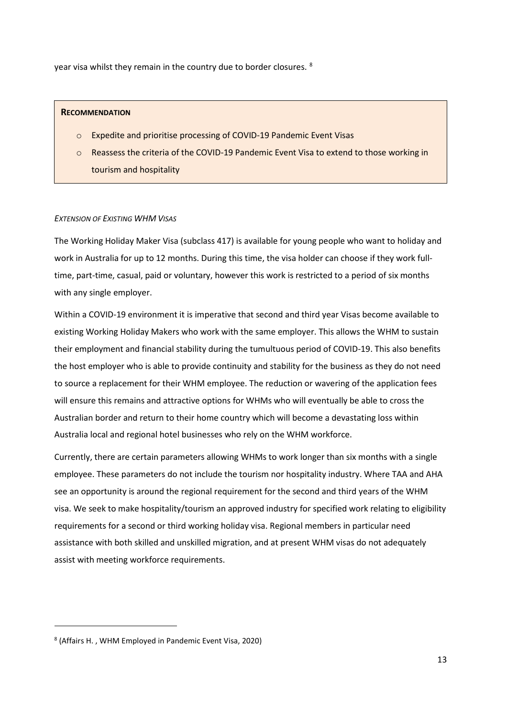year visa whilst they remain in the country due to border closures. <sup>[8](#page-12-1)</sup>

### **RECOMMENDATION**

- o Expedite and prioritise processing of COVID-19 Pandemic Event Visas
- o Reassess the criteria of the COVID-19 Pandemic Event Visa to extend to those working in tourism and hospitality

# <span id="page-12-0"></span>*EXTENSION OF EXISTING WHM VISAS*

The Working Holiday Maker Visa (subclass 417) is available for young people who want to holiday and work in Australia for up to 12 months. During this time, the visa holder can choose if they work fulltime, part-time, casual, paid or voluntary, however this work is restricted to a period of six months with any single employer.

Within a COVID-19 environment it is imperative that second and third year Visas become available to existing Working Holiday Makers who work with the same employer. This allows the WHM to sustain their employment and financial stability during the tumultuous period of COVID-19. This also benefits the host employer who is able to provide continuity and stability for the business as they do not need to source a replacement for their WHM employee. The reduction or wavering of the application fees will ensure this remains and attractive options for WHMs who will eventually be able to cross the Australian border and return to their home country which will become a devastating loss within Australia local and regional hotel businesses who rely on the WHM workforce.

Currently, there are certain parameters allowing WHMs to work longer than six months with a single employee. These parameters do not include the tourism nor hospitality industry. Where TAA and AHA see an opportunity is around the regional requirement for the second and third years of the WHM visa. We seek to make hospitality/tourism an approved industry for specified work relating to eligibility requirements for a second or third working holiday visa. Regional members in particular need assistance with both skilled and unskilled migration, and at present WHM visas do not adequately assist with meeting workforce requirements.

<span id="page-12-1"></span><sup>8</sup> (Affairs H. , WHM Employed in Pandemic Event Visa, 2020)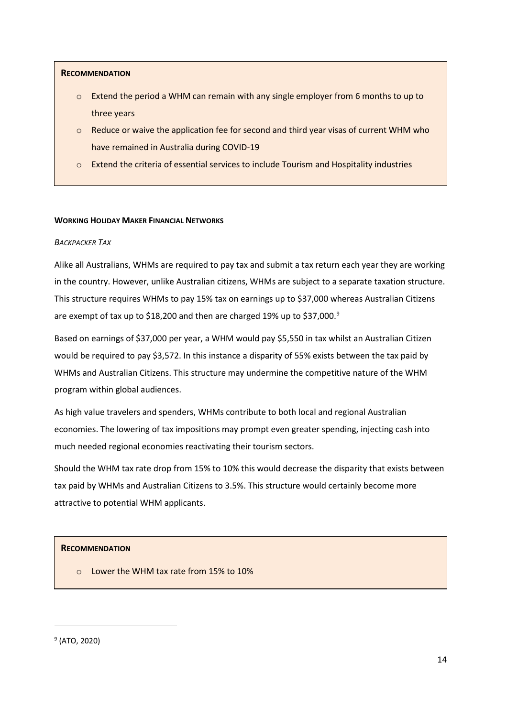# **RECOMMENDATION**

- $\circ$  Extend the period a WHM can remain with any single employer from 6 months to up to three years
- $\circ$  Reduce or waive the application fee for second and third year visas of current WHM who have remained in Australia during COVID-19
- $\circ$  Extend the criteria of essential services to include Tourism and Hospitality industries

# <span id="page-13-0"></span>**WORKING HOLIDAY MAKER FINANCIAL NETWORKS**

# <span id="page-13-1"></span>*BACKPACKER TAX*

Alike all Australians, WHMs are required to pay tax and submit a tax return each year they are working in the country. However, unlike Australian citizens, WHMs are subject to a separate taxation structure. This structure requires WHMs to pay 15% tax on earnings up to \$37,000 whereas Australian Citizens are exempt of tax up to \$18,200 and then are charged 1[9](#page-13-2)% up to \$37,000.<sup>9</sup>

Based on earnings of \$37,000 per year, a WHM would pay \$5,550 in tax whilst an Australian Citizen would be required to pay \$3,572. In this instance a disparity of 55% exists between the tax paid by WHMs and Australian Citizens. This structure may undermine the competitive nature of the WHM program within global audiences.

As high value travelers and spenders, WHMs contribute to both local and regional Australian economies. The lowering of tax impositions may prompt even greater spending, injecting cash into much needed regional economies reactivating their tourism sectors.

Should the WHM tax rate drop from 15% to 10% this would decrease the disparity that exists between tax paid by WHMs and Australian Citizens to 3.5%. This structure would certainly become more attractive to potential WHM applicants.

# **RECOMMENDATION**

o Lower the WHM tax rate from 15% to 10%

<span id="page-13-2"></span><sup>9</sup> (ATO, 2020)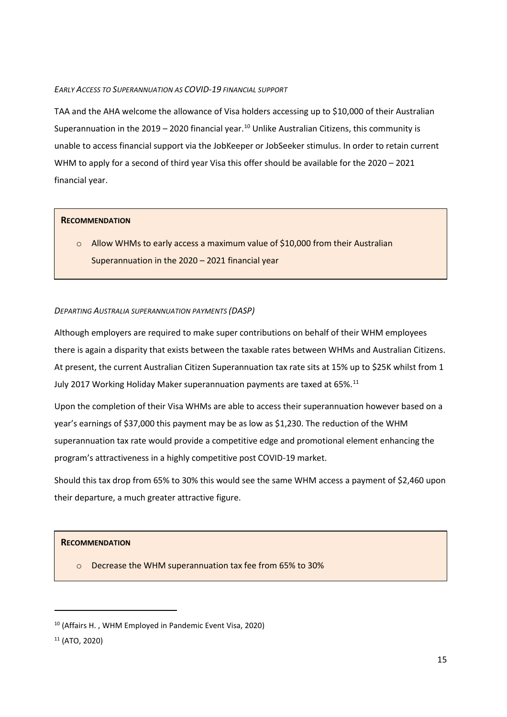## <span id="page-14-0"></span>*EARLY ACCESS TO SUPERANNUATION AS COVID-19 FINANCIAL SUPPORT*

TAA and the AHA welcome the allowance of Visa holders accessing up to \$10,000 of their Australian Superannuation in the  $2019 - 2020$  financial year.<sup>[10](#page-14-2)</sup> Unlike Australian Citizens, this community is unable to access financial support via the JobKeeper or JobSeeker stimulus. In order to retain current WHM to apply for a second of third year Visa this offer should be available for the 2020 – 2021 financial year.

# **RECOMMENDATION**

o Allow WHMs to early access a maximum value of \$10,000 from their Australian Superannuation in the 2020 – 2021 financial year

# <span id="page-14-1"></span>*DEPARTING AUSTRALIA SUPERANNUATION PAYMENTS (DASP)*

Although employers are required to make super contributions on behalf of their WHM employees there is again a disparity that exists between the taxable rates between WHMs and Australian Citizens. At present, the current Australian Citizen Superannuation tax rate sits at 15% up to \$25K whilst from 1 July 2017 Working Holiday Maker superannuation payments are taxed at 65%.<sup>[11](#page-14-3)</sup>

Upon the completion of their Visa WHMs are able to access their superannuation however based on a year's earnings of \$37,000 this payment may be as low as \$1,230. The reduction of the WHM superannuation tax rate would provide a competitive edge and promotional element enhancing the program's attractiveness in a highly competitive post COVID-19 market.

Should this tax drop from 65% to 30% this would see the same WHM access a payment of \$2,460 upon their departure, a much greater attractive figure.

# **RECOMMENDATION**

o Decrease the WHM superannuation tax fee from 65% to 30%

 $\overline{\phantom{a}}$ 

<span id="page-14-2"></span><sup>10</sup> (Affairs H. , WHM Employed in Pandemic Event Visa, 2020)

<span id="page-14-3"></span><sup>11</sup> (ATO, 2020)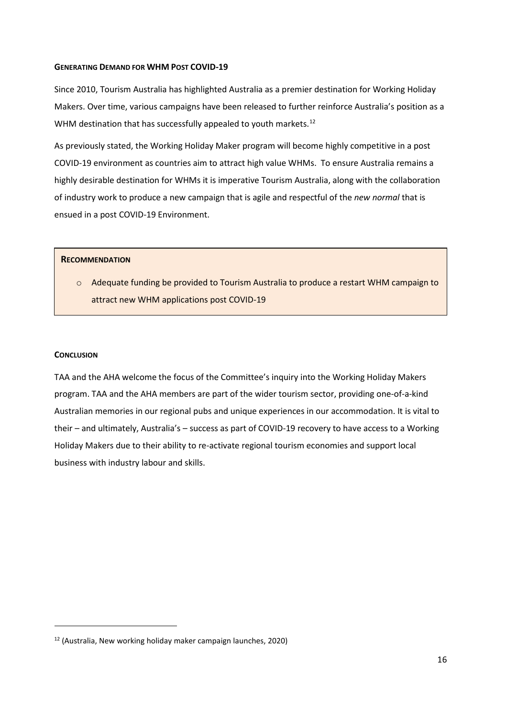#### <span id="page-15-0"></span>**GENERATING DEMAND FOR WHM POST COVID-19**

Since 2010, Tourism Australia has highlighted Australia as a premier destination for Working Holiday Makers. Over time, various campaigns have been released to further reinforce Australia's position as a WHM destination that has successfully appealed to youth markets.<sup>[12](#page-15-2)</sup>

As previously stated, the Working Holiday Maker program will become highly competitive in a post COVID-19 environment as countries aim to attract high value WHMs. To ensure Australia remains a highly desirable destination for WHMs it is imperative Tourism Australia, along with the collaboration of industry work to produce a new campaign that is agile and respectful of the *new normal* that is ensued in a post COVID-19 Environment.

### **RECOMMENDATION**

o Adequate funding be provided to Tourism Australia to produce a restart WHM campaign to attract new WHM applications post COVID-19

#### <span id="page-15-1"></span>**CONCLUSION**

 $\overline{a}$ 

TAA and the AHA welcome the focus of the Committee's inquiry into the Working Holiday Makers program. TAA and the AHA members are part of the wider tourism sector, providing one-of-a-kind Australian memories in our regional pubs and unique experiences in our accommodation. It is vital to their – and ultimately, Australia's – success as part of COVID-19 recovery to have access to a Working Holiday Makers due to their ability to re-activate regional tourism economies and support local business with industry labour and skills.

<span id="page-15-2"></span> $12$  (Australia, New working holiday maker campaign launches, 2020)